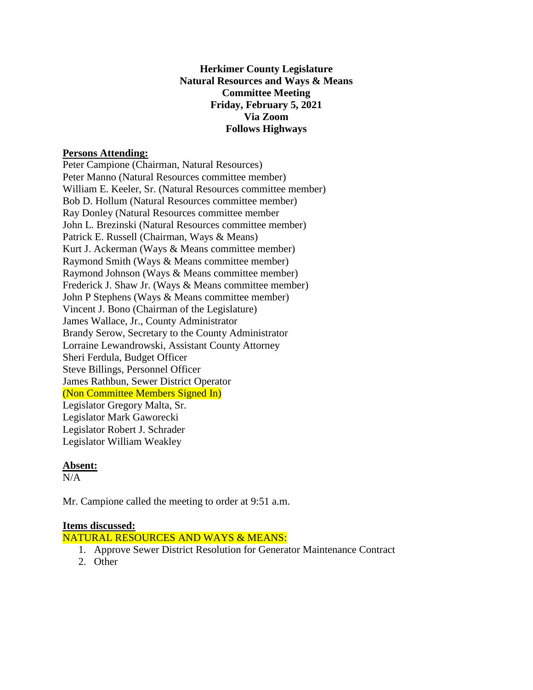## **Herkimer County Legislature Natural Resources and Ways & Means Committee Meeting Friday, February 5, 2021 Via Zoom Follows Highways**

### **Persons Attending:**

Peter Campione (Chairman, Natural Resources) Peter Manno (Natural Resources committee member) William E. Keeler, Sr. (Natural Resources committee member) Bob D. Hollum (Natural Resources committee member) Ray Donley (Natural Resources committee member John L. Brezinski (Natural Resources committee member) Patrick E. Russell (Chairman, Ways & Means) Kurt J. Ackerman (Ways & Means committee member) Raymond Smith (Ways & Means committee member) Raymond Johnson (Ways & Means committee member) Frederick J. Shaw Jr. (Ways & Means committee member) John P Stephens (Ways & Means committee member) Vincent J. Bono (Chairman of the Legislature) James Wallace, Jr., County Administrator Brandy Serow, Secretary to the County Administrator Lorraine Lewandrowski, Assistant County Attorney Sheri Ferdula, Budget Officer Steve Billings, Personnel Officer James Rathbun, Sewer District Operator (Non Committee Members Signed In) Legislator Gregory Malta, Sr. Legislator Mark Gaworecki Legislator Robert J. Schrader Legislator William Weakley

# **Absent:**

 $N/A$ 

Mr. Campione called the meeting to order at 9:51 a.m.

#### **Items discussed:**

NATURAL RESOURCES AND WAYS & MEANS:

- 1. Approve Sewer District Resolution for Generator Maintenance Contract
- 2. Other